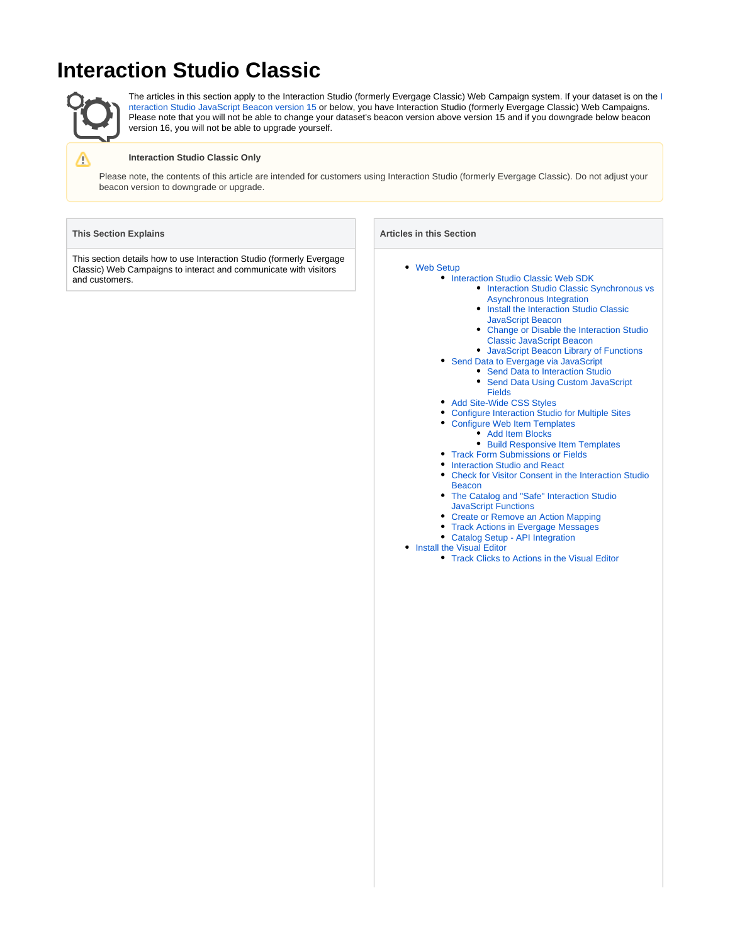# **Interaction Studio Classic**



Λ

The articles in this section apply to the [I](https://doc.evergage.com/display/EKB/Change+or+Disable+the+Interaction+Studio+Classic+JavaScript+Beacon)nteraction Studio (formerly Evergage Classic) Web Campaign system. If your dataset is on the I [nteraction Studio JavaScript Beacon version 15](https://doc.evergage.com/display/EKB/Change+or+Disable+the+Interaction+Studio+Classic+JavaScript+Beacon) or below, you have Interaction Studio (formerly Evergage Classic) Web Campaigns. Please note that you will not be able to change your dataset's beacon version above version 15 and if you downgrade below beacon version 16, you will not be able to upgrade yourself.

### **Interaction Studio Classic Only**

Please note, the contents of this article are intended for customers using Interaction Studio (formerly Evergage Classic). Do not adjust your beacon version to downgrade or upgrade.

### **This Section Explains**

This section details how to use Interaction Studio (formerly Evergage Classic) Web Campaigns to interact and communicate with visitors and customers.

## **Articles in this Section**

- [Web Setup](https://doc.evergage.com/display/EKB/Web+Setup)
	- [Interaction Studio Classic Web SDK](https://doc.evergage.com/display/EKB/Interaction+Studio+Classic+Web+SDK)
		- **Interaction Studio Classic Synchronous vs** [Asynchronous Integration](https://doc.evergage.com/display/EKB/Interaction+Studio+Classic+Synchronous+vs+Asynchronous+Integration)
		- Install the Interaction Studio Classic
		- [JavaScript Beacon](https://doc.evergage.com/display/EKB/Install+the+Interaction+Studio+Classic+JavaScript+Beacon) [Change or Disable the Interaction Studio](https://doc.evergage.com/display/EKB/Change+or+Disable+the+Interaction+Studio+Classic+JavaScript+Beacon)
		- [Classic JavaScript Beacon](https://doc.evergage.com/display/EKB/Change+or+Disable+the+Interaction+Studio+Classic+JavaScript+Beacon)
	- [JavaScript Beacon Library of Functions](https://doc.evergage.com/display/EKB/JavaScript+Beacon+Library+of+Functions)
	- [Send Data to Evergage via JavaScript](https://doc.evergage.com/display/EKB/Send+Data+to+Evergage+via+JavaScript)
		- [Send Data to Interaction Studio](https://doc.evergage.com/display/EKB/Send+Data+to+Interaction+Studio) [Send Data Using Custom JavaScript](https://doc.evergage.com/display/EKB/Send+Data+Using+Custom+JavaScript+Fields)
		- [Fields](https://doc.evergage.com/display/EKB/Send+Data+Using+Custom+JavaScript+Fields)
	- [Add Site-Wide CSS Styles](https://doc.evergage.com/display/EKB/Add+Site-Wide+CSS+Styles)
	- [Configure Interaction Studio for Multiple Sites](https://doc.evergage.com/display/EKB/Configure+Interaction+Studio+for+Multiple+Sites)
	- [Configure Web Item Templates](https://doc.evergage.com/display/EKB/Configure+Web+Item+Templates)
		- [Add Item Blocks](https://doc.evergage.com/display/EKB/Add+Item+Blocks)
		- [Build Responsive Item Templates](https://doc.evergage.com/display/EKB/Build+Responsive+Item+Templates)
	- **[Track Form Submissions or Fields](https://doc.evergage.com/display/EKB/Track+Form+Submissions+or+Fields)** 
		- [Interaction Studio and React](https://doc.evergage.com/display/EKB/Interaction+Studio+and+React)
	- [Check for Visitor Consent in the Interaction Studio](https://doc.evergage.com/display/EKB/Check+for+Visitor+Consent+in+the+Interaction+Studio+Beacon)   $\bullet$ **[Beacon](https://doc.evergage.com/display/EKB/Check+for+Visitor+Consent+in+the+Interaction+Studio+Beacon)**
	- [The Catalog and "Safe" Interaction Studio](https://doc.evergage.com/pages/viewpage.action?pageId=72452542)  [JavaScript Functions](https://doc.evergage.com/pages/viewpage.action?pageId=72452542)
	- [Create or Remove an Action Mapping](https://doc.evergage.com/display/EKB/Create+or+Remove+an+Action+Mapping)
	- [Track Actions in Evergage Messages](https://doc.evergage.com/display/EKB/Track+Actions+in+Evergage+Messages)
	- [Catalog Setup API Integration](https://doc.evergage.com/display/EKB/Catalog+Setup+-+API+Integration)
	- [Install the Visual Editor](https://doc.evergage.com/display/EKB/Install+the+Visual+Editor)
		- [Track Clicks to Actions in the Visual Editor](https://doc.evergage.com/display/EKB/Track+Clicks+to+Actions+in+the+Visual+Editor)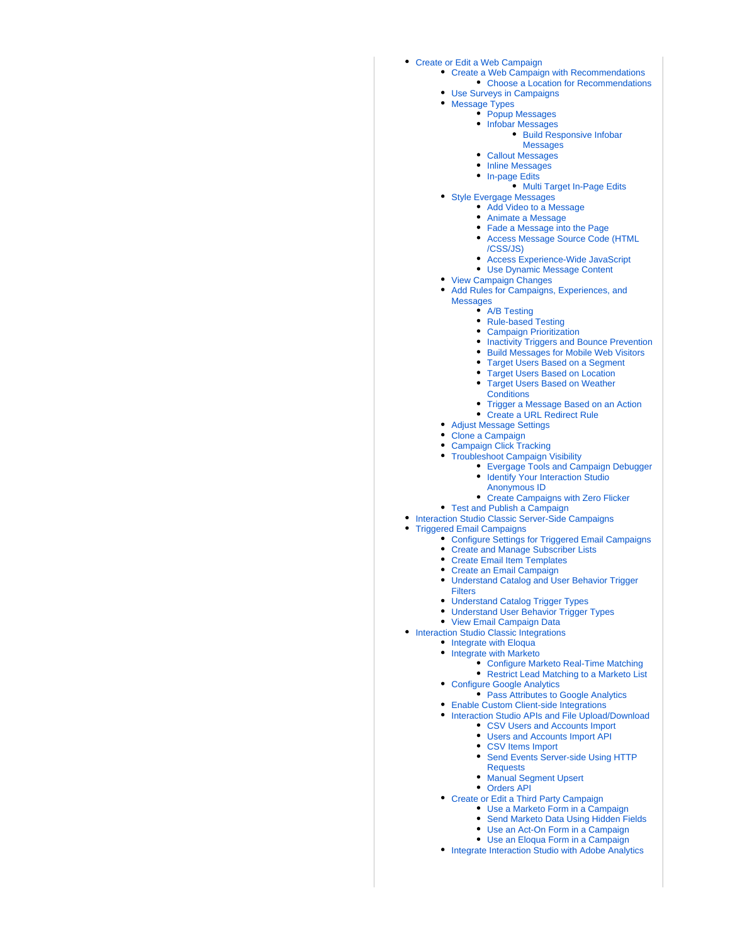# [Create or Edit a Web Campaign](https://doc.evergage.com/display/EKB/Create+or+Edit+a+Web+Campaign)

- [Create a Web Campaign with Recommendations](https://doc.evergage.com/display/EKB/Create+a+Web+Campaign+with+Recommendations) • [Choose a Location for Recommendations](https://doc.evergage.com/display/EKB/Choose+a+Location+for+Recommendations)
- [Use Surveys in Campaigns](https://doc.evergage.com/display/EKB/Use+Surveys+in+Campaigns)
- [Message Types](https://doc.evergage.com/display/EKB/Message+Types)
	- [Popup Messages](https://doc.evergage.com/display/EKB/Popup+Messages)
		- [Infobar Messages](https://doc.evergage.com/display/EKB/Infobar+Messages)
			- [Build Responsive Infobar](https://doc.evergage.com/display/EKB/Build+Responsive+Infobar+Messages)
			- **[Messages](https://doc.evergage.com/display/EKB/Build+Responsive+Infobar+Messages)**
		- [Callout Messages](https://doc.evergage.com/display/EKB/Callout+Messages)
		- **[Inline Messages](https://doc.evergage.com/display/EKB/Inline+Messages)**
		- [In-page Edits](https://doc.evergage.com/display/EKB/In-page+Edits) • [Multi Target In-Page Edits](https://doc.evergage.com/display/EKB/Multi+Target+In-Page+Edits)
- [Style Evergage Messages](https://doc.evergage.com/display/EKB/Style+Evergage+Messages)
	- [Add Video to a Message](https://doc.evergage.com/display/EKB/Add+Video+to+a+Message)
	- [Animate a Message](https://doc.evergage.com/display/EKB/Animate+a+Message)
	- [Fade a Message into the Page](https://doc.evergage.com/display/EKB/Fade+a+Message+into+the+Page)
	- [Access Message Source Code \(HTML](https://doc.evergage.com/pages/viewpage.action?pageId=72451022) [/CSS/JS\)](https://doc.evergage.com/pages/viewpage.action?pageId=72451022)
	- [Access Experience-Wide JavaScript](https://doc.evergage.com/display/EKB/Access+Experience-Wide+JavaScript)
	- [Use Dynamic Message Content](https://doc.evergage.com/display/EKB/Use+Dynamic+Message+Content)
- [View Campaign Changes](https://doc.evergage.com/display/EKB/View+Campaign+Changes)
- [Add Rules for Campaigns, Experiences, and](https://doc.evergage.com/display/EKB/Add+Rules+for+Campaigns%2C+Experiences%2C+and+Messages)  [Messages](https://doc.evergage.com/display/EKB/Add+Rules+for+Campaigns%2C+Experiences%2C+and+Messages)
	- [A/B Testing](https://doc.evergage.com/pages/viewpage.action?pageId=72451297)
	- [Rule-based Testing](https://doc.evergage.com/display/EKB/Rule-based+Testing)
	- [Campaign Prioritization](https://doc.evergage.com/display/EKB/Campaign+Prioritization)
	- [Inactivity Triggers and Bounce Prevention](https://doc.evergage.com/display/EKB/Inactivity+Triggers+and+Bounce+Prevention)
	- [Build Messages for Mobile Web Visitors](https://doc.evergage.com/display/EKB/Build+Messages+for+Mobile+Web+Visitors)
	- **[Target Users Based on a Segment](https://doc.evergage.com/display/EKB/Target+Users+Based+on+a+Segment)**
	- [Target Users Based on Location](https://doc.evergage.com/display/EKB/Target+Users+Based+on+Location)
	- $\bullet$ [Target Users Based on Weather](https://doc.evergage.com/display/EKB/Target+Users+Based+on+Weather+Conditions)
	- **[Conditions](https://doc.evergage.com/display/EKB/Target+Users+Based+on+Weather+Conditions)**
	- [Trigger a Message Based on an Action](https://doc.evergage.com/display/EKB/Trigger+a+Message+Based+on+an+Action)
	- [Create a URL Redirect Rule](https://doc.evergage.com/display/EKB/Create+a+URL+Redirect+Rule)
- [Adjust Message Settings](https://doc.evergage.com/display/EKB/Adjust+Message+Settings)
- [Clone a Campaign](https://doc.evergage.com/display/EKB/Clone+a+Campaign)
- [Campaign Click Tracking](https://doc.evergage.com/display/EKB/Campaign+Click+Tracking)
- [Troubleshoot Campaign Visibility](https://doc.evergage.com/display/EKB/Troubleshoot+Campaign+Visibility)
	- - [Evergage Tools and Campaign Debugger](https://doc.evergage.com/display/EKB/Evergage+Tools+and+Campaign+Debugger) [Identify Your Interaction Studio](https://doc.evergage.com/display/EKB/Identify+Your+Interaction+Studio+Anonymous+ID) 
			- [Anonymous ID](https://doc.evergage.com/display/EKB/Identify+Your+Interaction+Studio+Anonymous+ID)
		- [Create Campaigns with Zero Flicker](https://doc.evergage.com/display/EKB/Create+Campaigns+with+Zero+Flicker)
- [Test and Publish a Campaign](https://doc.evergage.com/display/EKB/Test+and+Publish+a+Campaign)
- **[Interaction Studio Classic Server-Side Campaigns](https://doc.evergage.com/display/EKB/Interaction+Studio+Classic+Server-Side+Campaigns)**
- [Triggered Email Campaigns](https://doc.evergage.com/display/EKB/Triggered+Email+Campaigns)
	- [Configure Settings for Triggered Email Campaigns](https://doc.evergage.com/display/EKB/Configure+Settings+for+Triggered+Email+Campaigns)
		- [Create and Manage Subscriber Lists](https://doc.evergage.com/display/EKB/Create+and+Manage+Subscriber+Lists)
		- [Create Email Item Templates](https://doc.evergage.com/display/EKB/Create+Email+Item+Templates)
		- [Create an Email Campaign](https://doc.evergage.com/display/EKB/Create+an+Email+Campaign)
		- [Understand Catalog and User Behavior Trigger](https://doc.evergage.com/display/EKB/Understand+Catalog+and+User+Behavior+Trigger+Filters) 
			- [Filters](https://doc.evergage.com/display/EKB/Understand+Catalog+and+User+Behavior+Trigger+Filters)
		- [Understand Catalog Trigger Types](https://doc.evergage.com/display/EKB/Understand+Catalog+Trigger+Types)
		- [Understand User Behavior Trigger Types](https://doc.evergage.com/display/EKB/Understand+User+Behavior+Trigger+Types)
		- [View Email Campaign Data](https://doc.evergage.com/display/EKB/View+Email+Campaign+Data)
- [Interaction Studio Classic Integrations](https://doc.evergage.com/display/EKB/Interaction+Studio+Classic+Integrations)
	- [Integrate with Eloqua](https://doc.evergage.com/display/EKB/Integrate+with+Eloqua)
		- [Integrate with Marketo](https://doc.evergage.com/display/EKB/Integrate+with+Marketo)
			- [Configure Marketo Real-Time Matching](https://doc.evergage.com/display/EKB/Configure+Marketo+Real-Time+Matching)
				- [Restrict Lead Matching to a Marketo List](https://doc.evergage.com/display/EKB/Restrict+Lead+Matching+to+a+Marketo+List)
		- [Configure Google Analytics](https://doc.evergage.com/display/EKB/Configure+Google+Analytics)
			- [Pass Attributes to Google Analytics](https://doc.evergage.com/display/EKB/Pass+Attributes+to+Google+Analytics)
		- **[Enable Custom Client-side Integrations](https://doc.evergage.com/display/EKB/Enable+Custom+Client-side+Integrations)**
		- [Interaction Studio APIs and File Upload/Download](https://doc.evergage.com/pages/viewpage.action?pageId=72454672)
			- [CSV Users and Accounts Import](https://doc.evergage.com/display/EKB/CSV+Users+and+Accounts+Import)
			- [Users and Accounts Import API](https://doc.evergage.com/display/EKB/Users+and+Accounts+Import+API)
			- [CSV Items Import](https://doc.evergage.com/display/EKB/CSV+Items+Import)
			- Send Events Server-side Using HTTP [Requests](https://doc.evergage.com/display/EKB/Send+Events+Server-side+Using+HTTP+Requests)
			- [Manual Segment Upsert](https://doc.evergage.com/display/EKB/Manual+Segment+Upsert)
			- [Orders API](https://doc.evergage.com/display/EKB/Orders+API)
		- [Create or Edit a Third Party Campaign](https://doc.evergage.com/display/EKB/Create+or+Edit+a+Third+Party+Campaign)
			- [Use a Marketo Form in a Campaign](https://doc.evergage.com/display/EKB/Use+a+Marketo+Form+in+a+Campaign)
			- [Send Marketo Data Using Hidden Fields](https://doc.evergage.com/display/EKB/Send+Marketo+Data+Using+Hidden+Fields)
			- [Use an Act-On Form in a Campaign](https://doc.evergage.com/display/EKB/Use+an+Act-On+Form+in+a+Campaign)
			- [Use an Eloqua Form in a Campaign](https://doc.evergage.com/display/EKB/Use+an+Eloqua+Form+in+a+Campaign)
		- [Integrate Interaction Studio with Adobe Analytics](https://doc.evergage.com/display/EKB/Integrate+Interaction+Studio+with+Adobe+Analytics)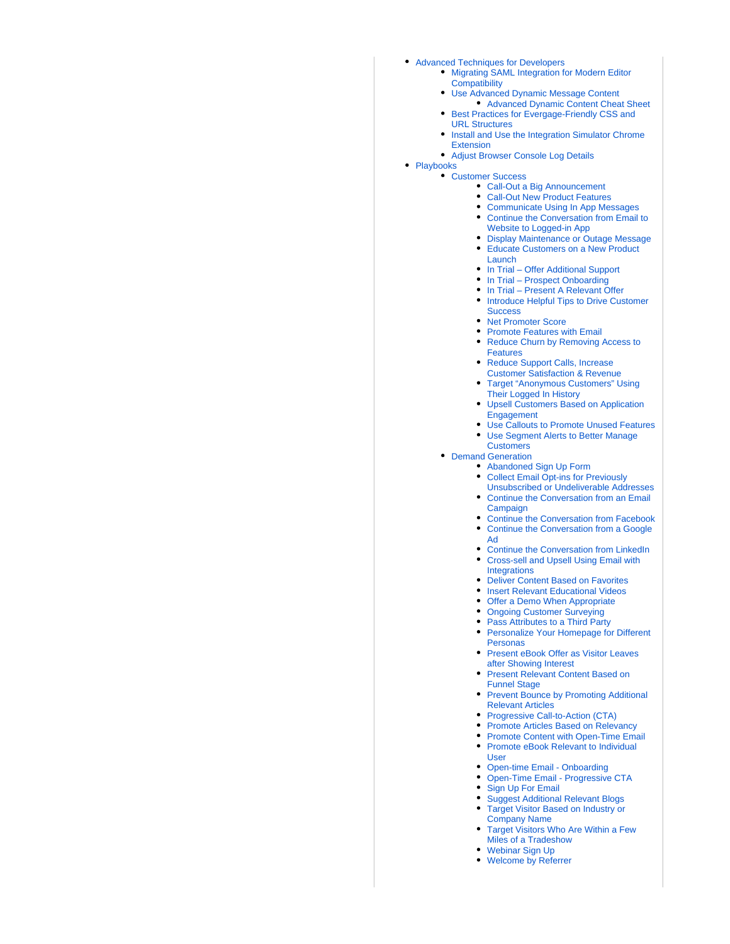- [Advanced Techniques for Developers](https://doc.evergage.com/display/EKB/Advanced+Techniques+for+Developers)
	- [Migrating SAML Integration for Modern Editor](https://doc.evergage.com/display/EKB/Migrating+SAML+Integration+for+Modern+Editor+Compatibility)  **[Compatibility](https://doc.evergage.com/display/EKB/Migrating+SAML+Integration+for+Modern+Editor+Compatibility)**
	- [Use Advanced Dynamic Message Content](https://doc.evergage.com/display/EKB/Use+Advanced+Dynamic+Message+Content) • [Advanced Dynamic Content Cheat Sheet](https://doc.evergage.com/display/EKB/Advanced+Dynamic+Content+Cheat+Sheet)
	- [Best Practices for Evergage-Friendly CSS and](https://doc.evergage.com/display/EKB/Best+Practices+for+Evergage-Friendly+CSS+and+URL+Structures)  [URL Structures](https://doc.evergage.com/display/EKB/Best+Practices+for+Evergage-Friendly+CSS+and+URL+Structures)
	- **Install and Use the Integration Simulator Chrome** [Extension](https://doc.evergage.com/display/EKB/Install+and+Use+the+Integration+Simulator+Chrome+Extension)
	- [Adjust Browser Console Log Details](https://doc.evergage.com/display/EKB/Adjust+Browser+Console+Log+Details)
- [Playbooks](https://doc.evergage.com/display/EKB/Playbooks) [Customer Success](https://doc.evergage.com/display/EKB/Customer+Success)
	- [Call-Out a Big Announcement](https://doc.evergage.com/display/EKB/Call-Out+a+Big+Announcement)
	- [Call-Out New Product Features](https://doc.evergage.com/display/EKB/Call-Out+New+Product+Features)
	- [Communicate Using In App Messages](https://doc.evergage.com/display/EKB/Communicate+Using+In+App+Messages)
	- [Continue the Conversation from Email to](https://doc.evergage.com/display/EKB/Continue+the+Conversation+from+Email+to+Website+to+Logged-in+App)  [Website to Logged-in App](https://doc.evergage.com/display/EKB/Continue+the+Conversation+from+Email+to+Website+to+Logged-in+App)
	- [Display Maintenance or Outage Message](https://doc.evergage.com/display/EKB/Display+Maintenance+or+Outage+Message)
	- [Educate Customers on a New Product](https://doc.evergage.com/display/EKB/Educate+Customers+on+a+New+Product+Launch)  [Launch](https://doc.evergage.com/display/EKB/Educate+Customers+on+a+New+Product+Launch)
	- [In Trial Offer Additional Support](https://doc.evergage.com/pages/viewpage.action?pageId=72453330)
	- [In Trial Prospect Onboarding](https://doc.evergage.com/pages/viewpage.action?pageId=72453333)
	- [In Trial Present A Relevant Offer](https://doc.evergage.com/pages/viewpage.action?pageId=72453348) **• Introduce Helpful Tips to Drive Customer**
	- **[Success](https://doc.evergage.com/display/EKB/Introduce+Helpful+Tips+to+Drive+Customer+Success)** • [Net Promoter Score](https://doc.evergage.com/display/EKB/Net+Promoter+Score)
	- [Promote Features with Email](https://doc.evergage.com/display/EKB/Promote+Features+with+Email)
	- Reduce Churn by Removing Access to [Features](https://doc.evergage.com/display/EKB/Reduce+Churn+by+Removing+Access+to+Features)
	- Reduce Support Calls, Increase [Customer Satisfaction & Revenue](https://doc.evergage.com/pages/viewpage.action?pageId=72453367)
	- [Target "Anonymous Customers" Using](https://doc.evergage.com/pages/viewpage.action?pageId=72453372)  [Their Logged In History](https://doc.evergage.com/pages/viewpage.action?pageId=72453372)
	- [Upsell Customers Based on Application](https://doc.evergage.com/display/EKB/Upsell+Customers+Based+on+Application+Engagement)  [Engagement](https://doc.evergage.com/display/EKB/Upsell+Customers+Based+on+Application+Engagement)
	- [Use Callouts to Promote Unused Features](https://doc.evergage.com/display/EKB/Use+Callouts+to+Promote+Unused+Features)
	- [Use Segment Alerts to Better Manage](https://doc.evergage.com/display/EKB/Use+Segment+Alerts+to+Better+Manage+Customers)  [Customers](https://doc.evergage.com/display/EKB/Use+Segment+Alerts+to+Better+Manage+Customers)
	- [Demand Generation](https://doc.evergage.com/display/EKB/Demand+Generation)
		- [Abandoned Sign Up Form](https://doc.evergage.com/display/EKB/Abandoned+Sign+Up+Form)
		- Collect Email Opt-ins for Previously [Unsubscribed or Undeliverable Addresses](https://doc.evergage.com/display/EKB/Collect+Email+Opt-ins+for+Previously+Unsubscribed+or+Undeliverable+Addresses)
		- [Continue the Conversation from an Email](https://doc.evergage.com/display/EKB/Continue+the+Conversation+from+an+Email+Campaign)  [Campaign](https://doc.evergage.com/display/EKB/Continue+the+Conversation+from+an+Email+Campaign)
		- [Continue the Conversation from Facebook](https://doc.evergage.com/display/EKB/Continue+the+Conversation+from+Facebook)  $\bullet$ [Continue the Conversation from a Google](https://doc.evergage.com/display/EKB/Continue+the+Conversation+from+a+Google+Ad)
		- [Ad](https://doc.evergage.com/display/EKB/Continue+the+Conversation+from+a+Google+Ad) [Continue the Conversation from LinkedIn](https://doc.evergage.com/display/EKB/Continue+the+Conversation+from+LinkedIn)
		- [Cross-sell and Upsell Using Email with](https://doc.evergage.com/display/EKB/Cross-sell+and+Upsell+Using+Email+with+Integrations)  **[Integrations](https://doc.evergage.com/display/EKB/Cross-sell+and+Upsell+Using+Email+with+Integrations)**
		- [Deliver Content Based on Favorites](https://doc.evergage.com/display/EKB/Deliver+Content+Based+on+Favorites)
		- [Insert Relevant Educational Videos](https://doc.evergage.com/display/EKB/Insert+Relevant+Educational+Videos)
		- [Offer a Demo When Appropriate](https://doc.evergage.com/display/EKB/Offer+a+Demo+When+Appropriate)
		- [Ongoing Customer Surveying](https://doc.evergage.com/display/EKB/Ongoing+Customer+Surveying)
		- [Pass Attributes to a Third Party](https://doc.evergage.com/display/EKB/Pass+Attributes+to+a+Third+Party)
		- [Personalize Your Homepage for Different](https://doc.evergage.com/display/EKB/Personalize+Your+Homepage+for+Different+Personas)  [Personas](https://doc.evergage.com/display/EKB/Personalize+Your+Homepage+for+Different+Personas)
		- Present eBook Offer as Visitor Leaves [after Showing Interest](https://doc.evergage.com/display/EKB/Present+eBook+Offer+as+Visitor+Leaves+after+Showing+Interest)
		- [Present Relevant Content Based on](https://doc.evergage.com/display/EKB/Present+Relevant+Content+Based+on+Funnel+Stage)  [Funnel Stage](https://doc.evergage.com/display/EKB/Present+Relevant+Content+Based+on+Funnel+Stage)
		- Prevent Bounce by Promoting Additional [Relevant Articles](https://doc.evergage.com/display/EKB/Prevent+Bounce+by+Promoting+Additional+Relevant+Articles)
		- [Progressive Call-to-Action \(CTA\)](https://doc.evergage.com/pages/viewpage.action?pageId=72453415)
		- **[Promote Articles Based on Relevancy](https://doc.evergage.com/display/EKB/Promote+Articles+Based+on+Relevancy)**
		- [Promote Content with Open-Time Email](https://doc.evergage.com/display/EKB/Promote+Content+with+Open-Time+Email)
		- [Promote eBook Relevant to Individual](https://doc.evergage.com/display/EKB/Promote+eBook+Relevant+to+Individual+User)  [User](https://doc.evergage.com/display/EKB/Promote+eBook+Relevant+to+Individual+User)
		- [Open-time Email Onboarding](https://doc.evergage.com/display/EKB/Open-time+Email+-+Onboarding)
		- [Open-Time Email Progressive CTA](https://doc.evergage.com/display/EKB/Open-Time+Email+-+Progressive+CTA)
		- [Sign Up For Email](https://doc.evergage.com/display/EKB/Sign+Up+For+Email)
		- [Suggest Additional Relevant Blogs](https://doc.evergage.com/display/EKB/Suggest+Additional+Relevant+Blogs)
		- [Target Visitor Based on Industry or](https://doc.evergage.com/display/EKB/Target+Visitor+Based+on+Industry+or+Company+Name)  [Company Name](https://doc.evergage.com/display/EKB/Target+Visitor+Based+on+Industry+or+Company+Name)
		- [Target Visitors Who Are Within a Few](https://doc.evergage.com/display/EKB/Target+Visitors+Who+Are+Within+a+Few+Miles+of+a+Tradeshow)  [Miles of a Tradeshow](https://doc.evergage.com/display/EKB/Target+Visitors+Who+Are+Within+a+Few+Miles+of+a+Tradeshow)
		- [Webinar Sign Up](https://doc.evergage.com/display/EKB/Webinar+Sign+Up)
		- [Welcome by Referrer](https://doc.evergage.com/display/EKB/Welcome+by+Referrer)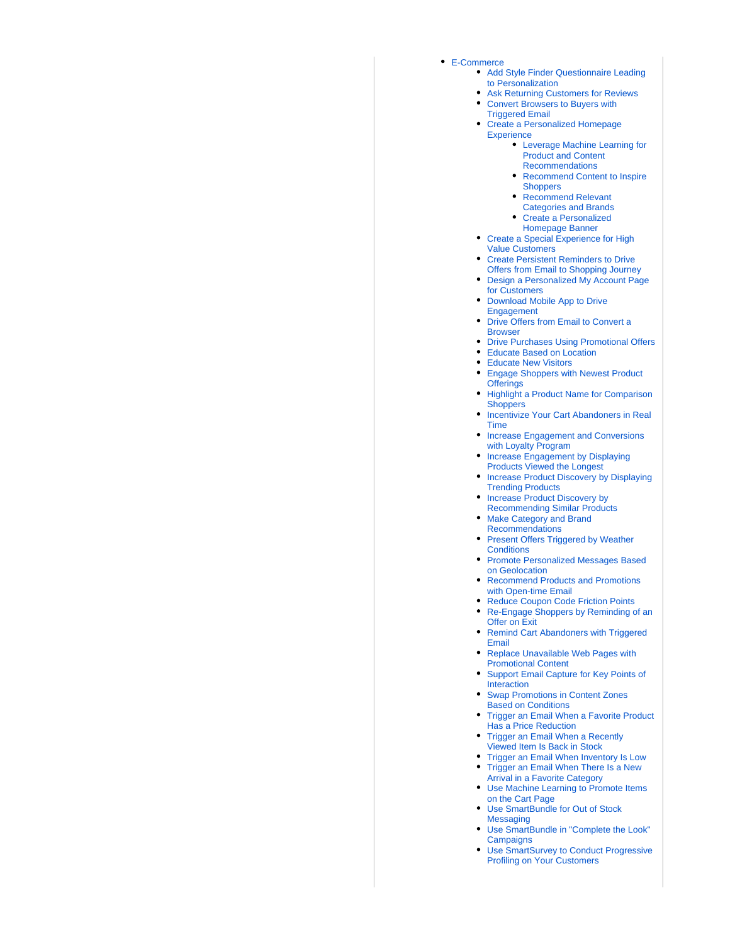#### [E-Commerce](https://doc.evergage.com/display/EKB/E-Commerce)

- [Add Style Finder Questionnaire Leading](https://doc.evergage.com/display/EKB/Add+Style+Finder+Questionnaire+Leading+to+Personalization)  [to Personalization](https://doc.evergage.com/display/EKB/Add+Style+Finder+Questionnaire+Leading+to+Personalization)
- [Ask Returning Customers for Reviews](https://doc.evergage.com/display/EKB/Ask+Returning+Customers+for+Reviews) [Convert Browsers to Buyers with](https://doc.evergage.com/display/EKB/Convert+Browsers+to+Buyers+with+Triggered+Email)
- [Triggered Email](https://doc.evergage.com/display/EKB/Convert+Browsers+to+Buyers+with+Triggered+Email) [Create a Personalized Homepage](https://doc.evergage.com/display/EKB/Create+a+Personalized+Homepage+Experience)
- **[Experience](https://doc.evergage.com/display/EKB/Create+a+Personalized+Homepage+Experience)** 
	- [Leverage Machine Learning for](https://doc.evergage.com/display/EKB/Leverage+Machine+Learning+for+Product+and+Content+Recommendations)  [Product and Content](https://doc.evergage.com/display/EKB/Leverage+Machine+Learning+for+Product+and+Content+Recommendations)  [Recommendations](https://doc.evergage.com/display/EKB/Leverage+Machine+Learning+for+Product+and+Content+Recommendations)
	- [Recommend Content to Inspire](https://doc.evergage.com/display/EKB/Recommend+Content+to+Inspire+Shoppers)  **[Shoppers](https://doc.evergage.com/display/EKB/Recommend+Content+to+Inspire+Shoppers)**
	- [Recommend Relevant](https://doc.evergage.com/display/EKB/Recommend+Relevant+Categories+and+Brands)  [Categories and Brands](https://doc.evergage.com/display/EKB/Recommend+Relevant+Categories+and+Brands)
	- [Create a Personalized](https://doc.evergage.com/display/EKB/Create+a+Personalized+Homepage+Banner)  [Homepage Banner](https://doc.evergage.com/display/EKB/Create+a+Personalized+Homepage+Banner)
- Create a Special Experience for High [Value Customers](https://doc.evergage.com/display/EKB/Create+a+Special+Experience+for+High+Value+Customers)
- [Create Persistent Reminders to Drive](https://doc.evergage.com/display/EKB/Create+Persistent+Reminders+to+Drive+Offers+from+Email+to+Shopping+Journey)  [Offers from Email to Shopping Journey](https://doc.evergage.com/display/EKB/Create+Persistent+Reminders+to+Drive+Offers+from+Email+to+Shopping+Journey)
- [Design a Personalized My Account Page](https://doc.evergage.com/display/EKB/Design+a+Personalized+My+Account+Page+for+Customers)  [for Customers](https://doc.evergage.com/display/EKB/Design+a+Personalized+My+Account+Page+for+Customers)
- [Download Mobile App to Drive](https://doc.evergage.com/display/EKB/Download+Mobile+App+to+Drive+Engagement)  [Engagement](https://doc.evergage.com/display/EKB/Download+Mobile+App+to+Drive+Engagement)
- Drive Offers from Email to Convert a **[Browser](https://doc.evergage.com/display/EKB/Drive+Offers+from+Email+to+Convert+a+Browser)**
- [Drive Purchases Using Promotional Offers](https://doc.evergage.com/display/EKB/Drive+Purchases+Using+Promotional+Offers)
- [Educate Based on Location](https://doc.evergage.com/display/EKB/Educate+Based+on+Location)
- [Educate New Visitors](https://doc.evergage.com/display/EKB/Educate+New+Visitors)
- [Engage Shoppers with Newest Product](https://doc.evergage.com/display/EKB/Engage+Shoppers+with+Newest+Product+Offerings)  **[Offerings](https://doc.evergage.com/display/EKB/Engage+Shoppers+with+Newest+Product+Offerings)**
- Highlight a Product Name for Comparison **[Shoppers](https://doc.evergage.com/display/EKB/Highlight+a+Product+Name+for+Comparison+Shoppers)**
- **Incentivize Your Cart Abandoners in Real** [Time](https://doc.evergage.com/display/EKB/Incentivize+Your+Cart+Abandoners+in+Real+Time)
- **Increase Engagement and Conversions** [with Loyalty Program](https://doc.evergage.com/display/EKB/Increase+Engagement+and+Conversions+with+Loyalty+Program)
- Increase Engagement by Displaying [Products Viewed the Longest](https://doc.evergage.com/display/EKB/Increase+Engagement+by+Displaying+Products+Viewed+the+Longest)
- Increase Product Discovery by Displaying [Trending Products](https://doc.evergage.com/display/EKB/Increase+Product+Discovery+by+Displaying+Trending+Products)
- Increase Product Discovery by [Recommending Similar Products](https://doc.evergage.com/display/EKB/Increase+Product+Discovery+by+Recommending+Similar+Products)
- [Make Category and Brand](https://doc.evergage.com/display/EKB/Make+Category+and+Brand+Recommendations)  [Recommendations](https://doc.evergage.com/display/EKB/Make+Category+and+Brand+Recommendations)
- Present Offers Triggered by Weather **[Conditions](https://doc.evergage.com/display/EKB/Present+Offers+Triggered+by+Weather+Conditions)**
- **Promote Personalized Messages Based** [on Geolocation](https://doc.evergage.com/display/EKB/Promote+Personalized+Messages+Based+on+Geolocation)
- [Recommend Products and Promotions](https://doc.evergage.com/display/EKB/Recommend+Products+and+Promotions+with+Open-time+Email)  [with Open-time Email](https://doc.evergage.com/display/EKB/Recommend+Products+and+Promotions+with+Open-time+Email)
- [Reduce Coupon Code Friction Points](https://doc.evergage.com/display/EKB/Reduce+Coupon+Code+Friction+Points)
- [Re-Engage Shoppers by Reminding of an](https://doc.evergage.com/display/EKB/Re-Engage+Shoppers+by+Reminding+of+an+Offer+on+Exit)  [Offer on Exit](https://doc.evergage.com/display/EKB/Re-Engage+Shoppers+by+Reminding+of+an+Offer+on+Exit)
- Remind Cart Abandoners with Triggered [Email](https://doc.evergage.com/display/EKB/Remind+Cart+Abandoners+with+Triggered+Email)
- [Replace Unavailable Web Pages with](https://doc.evergage.com/display/EKB/Replace+Unavailable+Web+Pages+with+Promotional+Content)  [Promotional Content](https://doc.evergage.com/display/EKB/Replace+Unavailable+Web+Pages+with+Promotional+Content)
- [Support Email Capture for Key Points of](https://doc.evergage.com/display/EKB/Support+Email+Capture+for+Key+Points+of+Interaction)  [Interaction](https://doc.evergage.com/display/EKB/Support+Email+Capture+for+Key+Points+of+Interaction)
- [Swap Promotions in Content Zones](https://doc.evergage.com/display/EKB/Swap+Promotions+in+Content+Zones+Based+on+Conditions)  [Based on Conditions](https://doc.evergage.com/display/EKB/Swap+Promotions+in+Content+Zones+Based+on+Conditions)
- Trigger an Email When a Favorite Product [Has a Price Reduction](https://doc.evergage.com/display/EKB/Trigger+an+Email+When+a+Favorite+Product+Has+a+Price+Reduction)
- [Trigger an Email When a Recently](https://doc.evergage.com/display/EKB/Trigger+an+Email+When+a+Recently+Viewed+Item+Is+Back+in+Stock)  [Viewed Item Is Back in Stock](https://doc.evergage.com/display/EKB/Trigger+an+Email+When+a+Recently+Viewed+Item+Is+Back+in+Stock)
- [Trigger an Email When Inventory Is Low](https://doc.evergage.com/display/EKB/Trigger+an+Email+When+Inventory+Is+Low) [Trigger an Email When There Is a New](https://doc.evergage.com/display/EKB/Trigger+an+Email+When+There+Is+a+New+Arrival+in+a+Favorite+Category)   $\bullet$
- [Arrival in a Favorite Category](https://doc.evergage.com/display/EKB/Trigger+an+Email+When+There+Is+a+New+Arrival+in+a+Favorite+Category) [Use Machine Learning to Promote Items](https://doc.evergage.com/display/EKB/Use+Machine+Learning+to+Promote+Items+on+the+Cart+Page)
- [on the Cart Page](https://doc.evergage.com/display/EKB/Use+Machine+Learning+to+Promote+Items+on+the+Cart+Page)
- [Use SmartBundle for Out of Stock](https://doc.evergage.com/display/EKB/Use+SmartBundle+for+Out+of+Stock+Messaging)  **[Messaging](https://doc.evergage.com/display/EKB/Use+SmartBundle+for+Out+of+Stock+Messaging)**
- [Use SmartBundle in "Complete the Look"](https://doc.evergage.com/pages/viewpage.action?pageId=72453503)  **[Campaigns](https://doc.evergage.com/pages/viewpage.action?pageId=72453503)**
- [Use SmartSurvey to Conduct Progressive](https://doc.evergage.com/display/EKB/Use+SmartSurvey+to+Conduct+Progressive+Profiling+on+Your+Customers)  [Profiling on Your Customers](https://doc.evergage.com/display/EKB/Use+SmartSurvey+to+Conduct+Progressive+Profiling+on+Your+Customers)